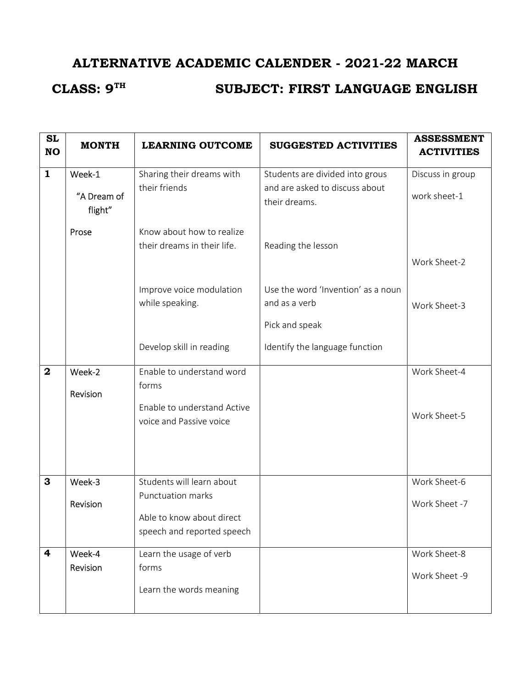# ALTERNATIVE ACADEMIC CALENDER - 2021-22 MARCH

## CLASS: 9<sup>TH</sup> SUBJECT: FIRST LANGUAGE ENGLISH

| <b>SL</b><br><b>NO</b> | <b>MONTH</b>                     | <b>LEARNING OUTCOME</b>                                                                                   | <b>SUGGESTED ACTIVITIES</b>                                                                             | <b>ASSESSMENT</b><br><b>ACTIVITIES</b> |
|------------------------|----------------------------------|-----------------------------------------------------------------------------------------------------------|---------------------------------------------------------------------------------------------------------|----------------------------------------|
| $\mathbf{1}$           | Week-1<br>"A Dream of<br>flight" | Sharing their dreams with<br>their friends                                                                | Students are divided into grous<br>and are asked to discuss about<br>their dreams.                      | Discuss in group<br>work sheet-1       |
|                        | Prose                            | Know about how to realize<br>their dreams in their life.                                                  | Reading the lesson                                                                                      | Work Sheet-2                           |
|                        |                                  | Improve voice modulation<br>while speaking.<br>Develop skill in reading                                   | Use the word 'Invention' as a noun<br>and as a verb<br>Pick and speak<br>Identify the language function | Work Sheet-3                           |
| $\boldsymbol{2}$       | Week-2<br>Revision               | Enable to understand word<br>forms<br>Enable to understand Active<br>voice and Passive voice              |                                                                                                         | Work Sheet-4<br>Work Sheet-5           |
| 3                      | Week-3<br>Revision               | Students will learn about<br>Punctuation marks<br>Able to know about direct<br>speech and reported speech |                                                                                                         | Work Sheet-6<br>Work Sheet -7          |
| 4                      | Week-4<br>Revision               | Learn the usage of verb<br>forms<br>Learn the words meaning                                               |                                                                                                         | Work Sheet-8<br>Work Sheet -9          |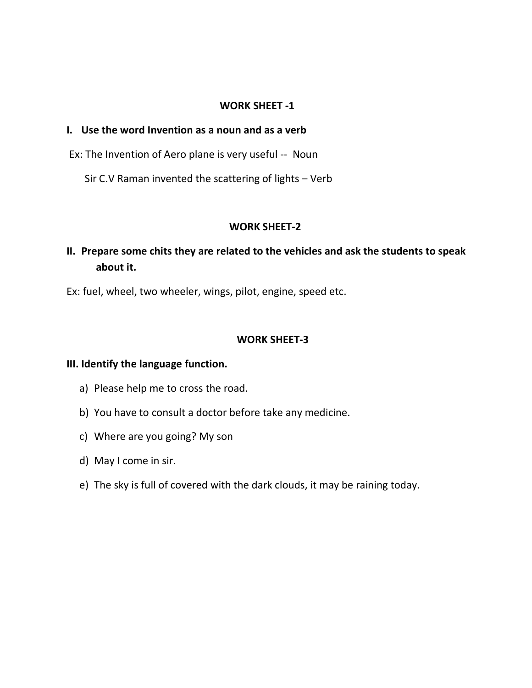#### WORK SHEET -1

#### I. Use the word Invention as a noun and as a verb

Ex: The Invention of Aero plane is very useful -- Noun

Sir C.V Raman invented the scattering of lights – Verb

#### WORK SHEET-2

## II. Prepare some chits they are related to the vehicles and ask the students to speak about it.

Ex: fuel, wheel, two wheeler, wings, pilot, engine, speed etc.

#### WORK SHEET-3

#### III. Identify the language function.

- a) Please help me to cross the road.
- b) You have to consult a doctor before take any medicine.
- c) Where are you going? My son
- d) May I come in sir.
- e) The sky is full of covered with the dark clouds, it may be raining today.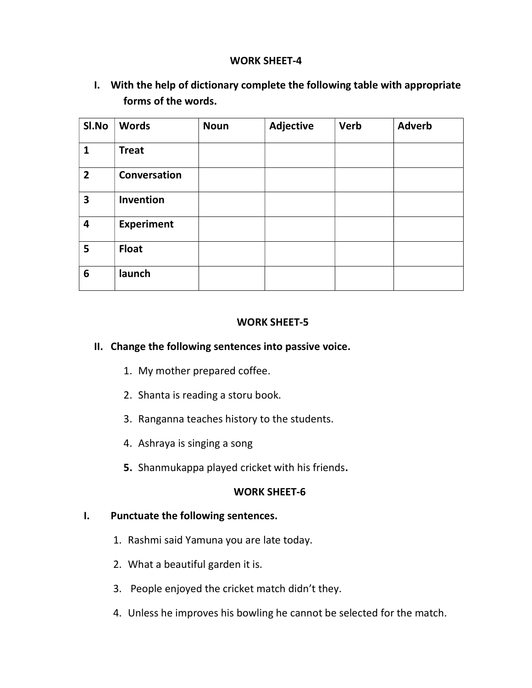### WORK SHEET-4

I. With the help of dictionary complete the following table with appropriate forms of the words.

| SI.No                   | <b>Words</b>      | <b>Noun</b> | <b>Adjective</b> | <b>Verb</b> | <b>Adverb</b> |
|-------------------------|-------------------|-------------|------------------|-------------|---------------|
| $\mathbf{1}$            | <b>Treat</b>      |             |                  |             |               |
| $\overline{2}$          | Conversation      |             |                  |             |               |
| $\overline{\mathbf{3}}$ | Invention         |             |                  |             |               |
| 4                       | <b>Experiment</b> |             |                  |             |               |
| 5                       | <b>Float</b>      |             |                  |             |               |
| 6                       | launch            |             |                  |             |               |

#### WORK SHEET-5

#### II. Change the following sentences into passive voice.

- 1. My mother prepared coffee.
- 2. Shanta is reading a storu book.
- 3. Ranganna teaches history to the students.
- 4. Ashraya is singing a song
- 5. Shanmukappa played cricket with his friends.

#### WORK SHEET-6

#### I. Punctuate the following sentences.

- 1. Rashmi said Yamuna you are late today.
- 2. What a beautiful garden it is.
- 3. People enjoyed the cricket match didn't they.
- 4. Unless he improves his bowling he cannot be selected for the match.